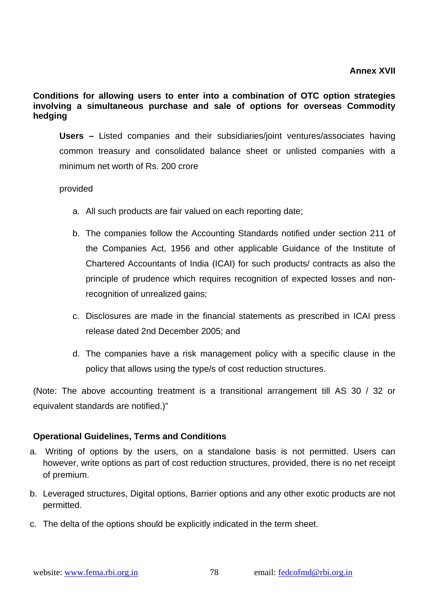## **Conditions for allowing users to enter into a combination of OTC option strategies involving a simultaneous purchase and sale of options for overseas Commodity hedging**

**Users –** Listed companies and their subsidiaries/joint ventures/associates having common treasury and consolidated balance sheet or unlisted companies with a minimum net worth of Rs. 200 crore

## provided

- a. All such products are fair valued on each reporting date;
- b. The companies follow the Accounting Standards notified under section 211 of the Companies Act, 1956 and other applicable Guidance of the Institute of Chartered Accountants of India (ICAI) for such products/ contracts as also the principle of prudence which requires recognition of expected losses and nonrecognition of unrealized gains;
- c. Disclosures are made in the financial statements as prescribed in ICAI press release dated 2nd December 2005; and
- d. The companies have a risk management policy with a specific clause in the policy that allows using the type/s of cost reduction structures.

(Note: The above accounting treatment is a transitional arrangement till AS 30 / 32 or equivalent standards are notified.)"

## **Operational Guidelines, Terms and Conditions**

- a. Writing of options by the users, on a standalone basis is not permitted. Users can however, write options as part of cost reduction structures, provided, there is no net receipt of premium.
- b. Leveraged structures, Digital options, Barrier options and any other exotic products are not permitted.
- c. The delta of the options should be explicitly indicated in the term sheet.